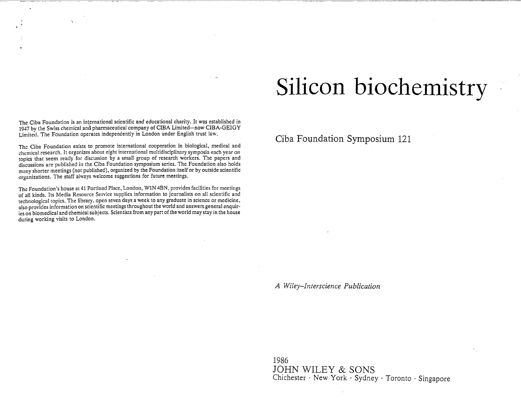# Silicon biochemistry

The Ciba Foundation is an international scientific and educational charity. It was established in 1947 by the Swiss chemical and pharmaceutical company of CIBA Limited—now CIBA-GEIG Y Limited. The Foundation operates independently in London under English trust law.

The Ciba Foundation exists to promote international cooperation in biological, medical and chemical research. It organizes about eight international multidisciplinary symposia each year on topics that seem ready for discussion by a small group of research workers. The papers and discussions are published in the Ciba Foundation symposium series. The Foundation also holds many shorter meetings (not published), organized by the Foundation itself or by outside scientific organizations. The staff always welcome suggestions for future meetings .

The Foundation's house at 41 Portland Place, London, W1N 4BN, provides facilities for meetings of all kinds. Its Media Resource Service supplies information to journalists on all scientific and technological topics. The library, open seven days a week to any graduate in science or medicine , also provides information on scientific meetings throughout the world and answers general enquir ies on biomedical and chemical subjects. Scientists from any part of the world may stay in the house during working visits to London.

Ciba Foundation Symposium 121

*A Wiley—Interscience Publication*

1986 JOHN WILEY & SONS Chichester . New York • Sydney • Toronto . Singapore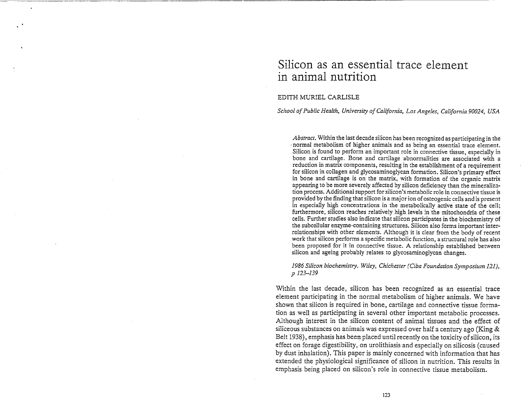## Silicon as an essential trace element in animal nutrition

#### EDITH MURIEL CARLISLE

#### *School of Public Health, University of California, Los Angeles, California 90024, USA*

*Abstract*. Within the last decade silicon has been recognized as participating in the · normal metabolism of higher animals and as being an essential trace element. Silicon is found to perform an important role in connective tissue, especially in bone and cartilage. Bone and cartilage abnormalities are associated with a reduction in matrix components, resulting in the establishment of a requirement for silicon in collagen and glycosaminoglycan formation . Silicon's primary effect in bone and cartilage is on the matrix, with formation of the organic matrix appearing to be more severely affected by silicon deficiency than the mineralization process. Additional support for silicon's metabolic role in connective tissue is provided by the finding that silicon is a major ion of osteogenic cells and is present in especially high concentrations in the metabolically active state of the cell; furthermore, silicon reaches relatively high levels in the mitochondria of these cells. Further studies also indicate that silicon participates in the biochemistry of the subcellular enzyme-containing structures. Silicon also forms important interrelationships with other elements. Although it is clear from the body of recent work that silicon performs a specific metabolic function, a structural role has also been proposed for it in connective tissue. A relationship established between silicon and ageing probably relates to glycosaminoglycan changes.

1986 *Silicon biochemistry. Wiley, Chichester (Ciba Foundation Symposium 121), p 123—139*

Within the last decade, silicon has been recognized as an essential trace element participating in the normal metabolism of higher animals . We have shown that silicon is required in bone, cartilage and connective tissue formation as well as participating in several other important metabolic processes . Although interest in the silicon content of animal tissues and the effect of siliceous substances on animals was expressed over half a century ago (King & Belt 1938), emphasis has been placed until recently on the toxicity of silicon, its effect on forage digestibility, on urolithiasis and especially on silicosis (cause d by dust inhalation). This paper is mainly concerned with information that has extended the physiological significance of silicon in nutrition. This results in emphasis being placed on silicon 's role in connective tissue metabolism.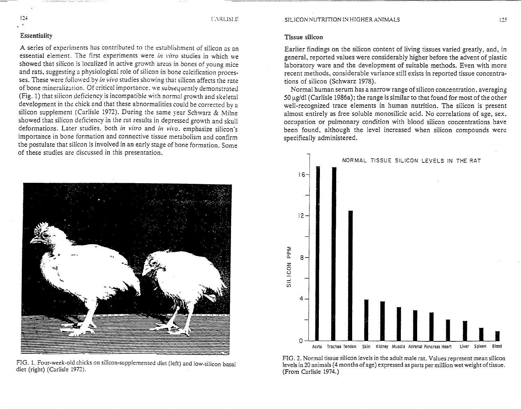12 **4**

#### **CARLISLE**

#### SILICON NUTRITION IN HIGHER ANIMALS 125

#### **Essentiality**

A series of experiments has contributed to the establishment of silicon as an essential element. The first experiments were *in vitro* studies in which we showed that silicon is localized in active growth areas in bones of young mice and rats, suggesting a physiological role of silicon in bone calcification processes. These were followed by *in vivo* studies showing that silicon affects the rate of bone mineralization. Of critical importance, we subsequently demonstrated (Fig. 1) that silicon deficiency is incompatible with normal growth and skeleta <sup>l</sup> development in the chick and that these abnormalities could be corrected by a silicon supplement (Carlisle 1972). During the same year Schwarz & Milne showed that silicon deficiency in the rat results in depressed growth and skull deformations. Later studies. both *in vitro* and *in vivo .* emphasize silicon's importance in bone formation and connective tissue metabolism and confirm the postulate that silicon is involved in an early stage of bone formation . Some of these studies are discussed in this presentation .



FIG. 1. Four-week-old chicks on silicon-supplemented diet (left) and low-silicon basal diet (right) (Carlisle 1972).

#### **Tissue silicon**

Earlier findings on the silicon content of living tissues varied greatly, and, in general, reported values were considerably higher before the advent of plastic laboratory ware and the development of suitable methods. Even with more recent methods, considerable variance still exists in reported tissue concentrations of silicon (Schwarz 1978).

Normal human serum has a narrow range of silicon concentration, averaging  $50 \mu g/d$  (Carlisle 1986a); the range is similar to that found for most of the other well-recognized trace elements in human nutrition. The silicon is present almost entirely as free soluble monosilicic acid. No correlations of age, sex, occupation or pulmonary condition with blood silicon concentrations have been found, although the level increased when silicon compounds were specifically administered.



FIG. 2. Normal tissue silicon levels in the adult male rat. Values represent mean silicon levels in 20 animals (4 months of age) expressed as parts per million wet weight of tissue . (From Carlisle 1974.)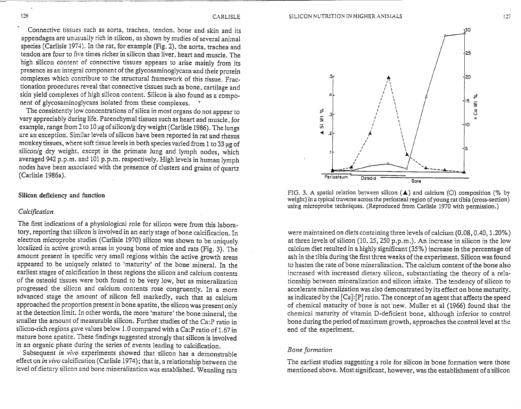Connective tissues such as aorta, trachea, tendon, bone and skin and its appendages are unusually rich in silicon, as shown by studies of several animal species (Carlisle 1974). In the rat, for example (Fig. 2), the aorta, trachea and tendon are four to five times richer in silicon than liver, heart and muscle . The high silicon content of connective tissues appears to arise mainly from its presence as an integral component of the glycosaminoglycans and their protein complexes which contribute to the structural framework of this tissue. Fractionation procedures reveal that connective tissues such as bone, cartilage and skin yield complexes of high silicon content. Silicon is also found as a component of glycosaminoglycans isolated from these complexes.

The consistently low concentrations of silica in most organs do not appear to vary appreciably during life. Parenchymal tissues such as heart and muscle, for example, range from 2 to 10 ug of silicon/g dry weight (Carlisle 1986) . The lungs are an exception. Similar levels of silicon have been reported in rat and rhesus monkey tissues, where soft tissue levels in both species varied from 1 to 33 ug of silicon/g dry weight. except in the primate lung and lymph nodes, which averaged 942 p.p.m. and 101 p.p.m. respectively. High levels in human lymph nodes have been associated with the presence of clusters and grains of quartz (Carlisle 1986a).

#### Silicon deficiency and function

#### *Calcificatio n*

The first indications of a physiological role for silicon were from this laboratory, reporting that silicon is involved in an early stage of bone calcification . In electron microprobe studies (Carlisle 1970) silicon was shown to be uniquely localized in active growth areas in young bone of mice and rats (Fig. 3). The amount present in specific very small regions within the active growth areas appeared to be uniquely related to 'maturity' of the bone mineral. In the earliest stages of calcification in these regions the silicon and calcium contents of the osteoid tissues were both found to be very low, but as mineralization progressed the silicon and calcium contents rose congruently. In a more advanced stage the amount of silicon fell markedly, such that as calcium approached the proportion present in bone apatite, the silicon was present only at the detection limit. In other words, the more 'mature' the bone mineral, the smaller the amount of measurable silicon. Further studies of the Ca:P ratio in silicon-rich regions gave values below 1.0 compared with a Ca:P ratio of 1.67 in mature bone apatite. These findings suggested strongly that silicon is involved in an organic phase during the series of events leading to calcification.

Subsequent in vivo experiments showed that silicon has a demonstrable effect on *in vivo* calcification (Carlisle 1974); that is, a relationship between the level of dietary silicon and bone mineralization was established. Weanling rats



FIG. 3. A spatial relation between silicon ( $\triangle$ ) and calcium (O) composition (% by weight) in a typical traverse across the periosteal region of young rat tibia (cross-section ) using microprobe techniques. (Reproduced from Carlisle 1970 with permission.)

were maintained on diets containing three levels of calcium (0.08, 0.40, 1.20%) at three levels of silicon  $(10, 25, 250 p.p.m.)$ . An increase in silicon in the low calcium diet resulted in a highly significant (35%) increase in the percentage of ash in the tibia during the first three weeks of the experiment. Silicon was found to hasten the rate of bone mineralization. The calcium content of the bone also increased with increased dietary silicon, substantiating the theory of a relationship between mineralization and silicon intake. The tendency of silicon to accelerate mineralization was also demonstrated by its effect on bone maturity, . as indicated by the  $[Ca]$ : $[P]$  ratio. The concept of an agent that affects the speed of chemical maturity of bone is not new. Muller et al (1966) found that the chemical maturity of vitamin D-deficient bone, although inferior to control bone during the period of maximum growth, approaches the control level at the end of the experiment.

#### *Bone formatio n*

The earliest studies suggesting a role for silicon in bone formation were those mentioned above. Most significant, however, was the establishment of a silicon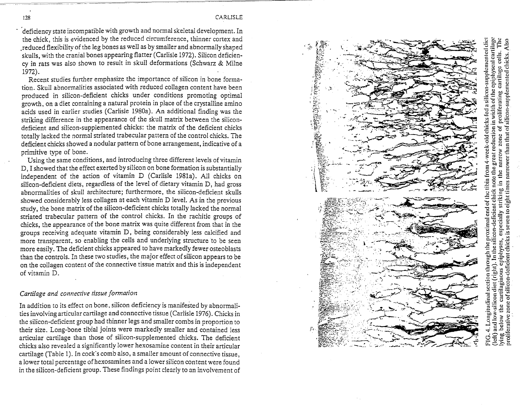'deficiency state incompatible with growth and normal skeletal development . I n the chick, this is evidenced by the reduced circumference, thinner cortex an d ,reduced flexibility of the leg bones as well as by smaller and abnormally shape d skulls, with the cranial bones appearing flatter (Carlisle 1972) . Silicon deficien cy in rats was also shown to result in skull deformations (Schwarz & Miln e 1972).

Recent studies further emphasize the importance of silicon in bone formation. Skull abnormalities associated with reduced collagen content have been produced in silicon-deficient chicks under conditions promoting optima l growth, on a diet containing a natural protein in place of the crystalline amin o acids used in earlier studies (Carlisle 1980a). An additional finding was the striking difference in the appearance of the skull matrix between the silicondeficient and silicon-supplemented chicks: the matrix of the deficient chicks totally lacked the normal striated trabecular pattern of the control chicks. Th e deficient chicks showed a nodular pattern of bone arrangement, indicative of a primitive type of bone.

Using the same conditions, and introducing three different levels of vitami n D, I showed that the effect exerted by silicon on bone formation is substantiall y independent of the action of vitamin D (Carlisle 1981a). All chicks o n silicon-deficient diets, regardless of the level of dietary vitamin D, had gros s abnormalities of skull architecture; furthermore, the silicon-deficient skulls showed considerably less collagen at each vitamin D level. As in the previou s study, the bone matrix of the silicon-deficient chicks totally lacked the norma l striated trabecular pattern of the control chicks. In the rachitic groups o f chicks, the appearance of the bone matrix was quite different from that in th e groups receiving adequate vitamin D, being considerably less calcified an d more transparent, so enabling the cells and underlying structure to be see n more easily. The deficient chicks appeared to have markedly fewer osteoblast s than the controls. In these two studies, the major effect of silicon appears to b e on the collagen content of the connective tissue matrix and this is independen t of vitamin D.

#### *Cartilage and connective tissue formatio n*

In addition to its effect on bone, silicon deficiency is manifested by abnormali ties involving articular cartilage and connective tissue (Carlisle 1976) . Chicks i n the silicon-deficient group had thinner legs and smaller combs in proportion t o their size. Long-bone tibial joints were markedly smaller and contained less articular cartilage than those of silicon-supplemented chicks. The deficient chicks also revealed a significantly lower hexosamine content in their articula r cartilage (Table 1). In cock's comb also, a smaller amount of connective tissue , a lower total percentage of hexosamines and a lower silicon content were foun d in the silicon-deficient group. These findings point clearly to an involvement of

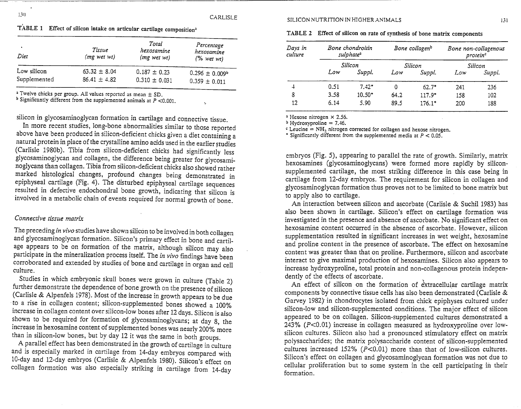### **TABLE 1 Effect of silicon intake on articular cartilage composition '**

| ٠<br>Diet    | Tissue<br>$(mg$ wet wt $)$ | Total<br>hexosamine<br>(mg wet wt) | Percentage<br>hexosamine<br>$(%$ wet wt) |  |
|--------------|----------------------------|------------------------------------|------------------------------------------|--|
| Low silicon  | $63.32 \pm 8.04$           | $0.187 \pm 0.23$                   | $0.296 \pm 0.009$ <sup>b</sup>           |  |
| Supplemented | $86.41 \pm 4.82$           | $0.310 \pm 0.031$                  | $0.359 \pm 0.011$                        |  |

<sup>a</sup> Twelve chicks per group. All values reported as mean  $\pm$  SD.

**b** Significantly different from the supplemented animals at  $P < 0.001$ .

silicon in glycosaminoglycan formation in cartilage and connective tissue .

In more recent studies, long-bone abnormalities similar to those reported above have been produced in silicon-deficient chicks given a diet containing <sup>a</sup> natural protein in place of the crystalline amino acids used in the earlier studies (Carlisle 1980b). Tibia from silicon-deficient chicks had significantly less glycosaminoglycan and collagen, the difference being greater for glycosaminoglycans than collagen. Tibia from silicon-deficient chicks also showed rather marked histological changes, profound changes being demonstrated in epiphyseal cartilage (Fig. 4). The disturbed epiphyseal cartilage sequences resulted in defective endochondral bone growth, indicating that silicon is involved in a metabolic chain of events required for normal growth of bone.

#### *Connective tissue matrix*

The preceding *in vivo* studies have shown silicon to be involved in both collagen and glycosaminoglycan formation. Silicon's primary effect in bone and cartilage appears to be on formation of the matrix, although silicon may also participate in the mineralization process itself. The *in vivo* findings have been corroborated and extended by studies of bone and cartilage in organ and cell culture.

Studies in which embryonic skull bones were grown in culture (Table 2) further demonstrate the dependence of bone growth on the presence of silicon (Carlisle & Alpenfels 1978). Most of the increase in growth appears to be due to a rise in collagen content; silicon-supplemented bones showed a 100% increase in collagen content over silicon-low bones after 12 days. Silicon is also shown to be required for formation of glycosaminoglycans; at day 8, the increase in hexosamine content of supplemented bones was nearly 200% more than in silicon-low bones, but by day 12 it was the same in both groups .

A parallel effect has been demonstrated in the growth of cartilage in culture and is especially marked in cartilage from 14-day embryos compared with 10-day and 12-day embryos (Carlisle & Alpenfels 1980) . Silicon's effect on collagen formation was also especially striking in cartilage from 14-day

# 13r1 CARLISLE SILICON NUTRITION IN HIGHER ANIMALS <sup>13</sup> <sup>1</sup>

|  |  |  |  |  |  |  |  |  |  | TABLE 2 Effect of silicon on rate of synthesis of bone matrix components |
|--|--|--|--|--|--|--|--|--|--|--------------------------------------------------------------------------|
|--|--|--|--|--|--|--|--|--|--|--------------------------------------------------------------------------|

| Days in<br>culture | Bone chondroitin<br>sulphate <sup>a</sup><br>Silicon |          |      | Bone collagen <sup>b</sup> | Bone non-collagenous<br>protein <sup>c</sup><br>Silicon |        |  |
|--------------------|------------------------------------------------------|----------|------|----------------------------|---------------------------------------------------------|--------|--|
|                    |                                                      |          |      | Silicon                    |                                                         |        |  |
|                    | Low                                                  | Suppl.   | Low  | Suppl.                     | Low                                                     | Suppl. |  |
| 4                  | 0.51                                                 | $7.42*$  | 0    | $62.7*$                    | 241                                                     | 236    |  |
| 8                  | 3.58                                                 | $10.50*$ | 64.2 | 117.9*                     | 158                                                     | 102    |  |
| 12                 | 6.14                                                 | 5.90     | 89.5 | $176.1*$                   | 200                                                     | 188    |  |

 $\degree$  Hexose nitrogen  $\times$  2.56.

 $<sup>b</sup>$  Hydroxyproline = 7.46.</sup>

 $c$  Leucine = NH<sub>2</sub> nitrogen corrected for collagen and hexose nitrogen.

\* Significantly different from the supplemented media at  $P < 0.05$ .

embryos (Fig. 5), appearing to parallel the rate of growth. Similarly, matrix hexosamines (glycosaminoglycans) were formed more rapidly by siliconsupplemented cartilage, the most striking difference in this case being in cartilage from 12-day embryos. The requirement for silicon in collagen and glycosaminoglycan formation thus proves not to be limited to bone matrix but to apply also to cartilage .

An interaction between silicon and ascorbate (Carlisle & Suchil 1983) has also been shown in cartilage. Silicon's effect on cartilage formation was investigated in the presence and absence of ascorbate. No significant effect on hexosamine content occurred in the absence of ascorbate. However, silicon supplementation resulted in significant increases in wet weight, hexosamine and proline content in the presence of ascorbate. The effect on hexosamine content was greater than that on proline. Furthermore, silicon and ascorbate interact to give maximal production of hexosamines. Silicon also appears to increase hydroxyproline, total protein and non-collagenous protein independently of the effects of ascorbate.

An effect of silicon on the formation of extracellular cartilage matrix components by connective tissue cells has also been demonstrated (Carlisle & Garvey 1982) in chondrocytes isolated from chick epiphyses cultured under silicon-low and silicon-supplemented conditions. The major effect of silicon appeared to be on collagen. Silicon-supplemented cultures demonstrated a 243% ( $P<0.01$ ) increase in collagen measured as hydroxyproline over lowsilicon cultures. Silicon also had a pronounced stimulatory effect on matrix polysaccharides; the matrix polysaccharide content of silicon-supplemented cultures increased 152% ( $P<0.01$ ) more than that of low-silicon cultures. Silicon's effect on collagen and glycosaminoglycan formation was not due to cellular proliferation but to some system in the cell participating in their formation.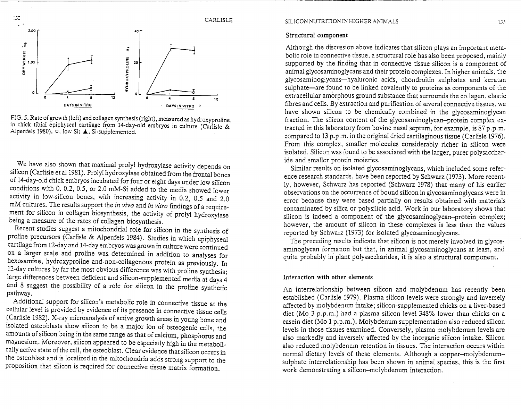

FIG. 5 . Rate of growth (left) and collagen synthesis (right), measured as hydroxyproline , in chick tibial epiphyseal cartilage from 14-day-old embryos in culture (Carlisle & Alpenfels 1980). ○, low Si; ▲, Si-supplemented.

We have also shown that maximal prolyl hydroxylase activity depends on silicon (Carlisle et al 1981). Prolyl hydroxylase obtained from the frontal bones of 14-day-old chick embryos incubated for four or eight days under low silicon conditions with 0, 0.2, 0.5, or 2.0 mM-Si added to the media showed lower activity in low-silicon bones, with increasing activity in  $0.2$ ,  $0.5$  and  $2.0$ mM cultures. The results support the *in vivo* and *in vitro* findings of a require ment for silicon in collagen biosynthesis, the activity of prolyl hydroxylase being a measure of the rates of collagen biosynthesis.

Recent studies suggest a mitochondrial role for silicon in the synthesis of proline precursors (Carlisle & Alpenfels 1984). Studies in which epiphyseal cartilage from 12-day and 14-day embryos was grown in culture were continue d on a larger scale and proline was determined in addition to analyses for hexosamine, hydroxyproline and non-collagenous protein as previously. In 12-day cultures by far the most obvious difference was with proline synthesis; large differences between deficient and silicon-supplemented media at days <sup>4</sup> and 8 suggest the possibility of a role for silicon in the proline synthetic pathway.

Additional support for silicon's metabolic role in connective tissue at the cellular level is provided by evidence of its presence in connective tissue cells (Carlisle 1982). X-ray microanalysis of active growth areas in young bone and isolated osteoblasts show silicon to be a major ion of osteogenic cells, the amounts of silicon being in the same range as that of calcium, phosphorus and magnesium. Moreover, silicon appeared to be especially high in the metabolically active state of the cell, the osteoblast . Clear evidence that silicon occurs in the osteoblast and is localized in the mitochondria adds strong support to the proposition that silicon is required for connective tissue matrix formation .

#### SILICON NUTRITION IN HIGHER ANIMALS

#### **Structural component**

Although the discussion above indicates that silicon plays an important metabolic role in connective tissue, a structural role has also been proposed, mainly supported by the finding that in connective tissue silicon is a component of animal glycosaminoglycans and their protein complexes. In higher animals, the glycosaminoglycans—hyaluronic acids, chondroitin sulphates and keratan sulphate—are found to be linked covalently to proteins as components of the extracellular amorphous ground substance that surrounds the collagen, elastic fibres and cells. By extraction and purification of several connective tissues, we have shown silicon to be chemically combined in the glycosaminoglycan fraction. The silicon content of the glycosaminoglycan–protein complex extracted in this laboratory from bovine nasal septum, for example, is 87 p.p.m. compared to 13 p.p.m. in the original dried cartilaginous tissue (Carlisle 1976). From this complex, smaller molecules considerably richer in silicon were isolated. Silicon was found to be associated with the larger, purer polysaccharide and smaller protein moieties.

Similar results on isolated glycosaminoglycans, which included some reference research standards, have been reported by Schwarz (1973). More recently, however, Schwarz has reported (Schwarz 1978) that many of his earlier observations on the occurrence of bound silicon in glycosaminoglycans were in error because they were based partially on results obtained with materials contaminated by silica or polysilicic acid. Work in our laboratory shows that silicon is indeed a component of the glycosaminoglycan-protein complex; however, the amount of silicon in these complexes is less than the values reported by Schwarz (1973) for isolated glycosaminoglycans.

The preceding results indicate that silicon is not merely involved in glycosaminoglycan formation but that, in animal glycosaminoglycans at least, and quite probably in plant polysaccharides, it is also a structural component.

#### **Interaction with** other elements

An interrelationship between silicon and molybdenum has recently been established (Carlisle 1979). Plasma silicon levels were strongly and inversely affected by molybdenum intake; silicon-supplemented chicks on a liver-based diet (Mo 3 p.p.m.) had a plasma silicon level 348% lower than chicks on a casein diet (Mo 1 p.p.m.). Molybdenum supplementation also reduced silicon levels in those tissues examined. Conversely, plasma molybdenum levels are also markedly and inversely affected by the inorganic silicon intake. Silicon also reduced molybdenum retention in tissues. The interaction occurs within normal dietary levels of these elements. Although a copper–molybdenum- sulphate interrelationship has been shown in animal species, this is the first work demonstrating a silicon-molybdenum interaction.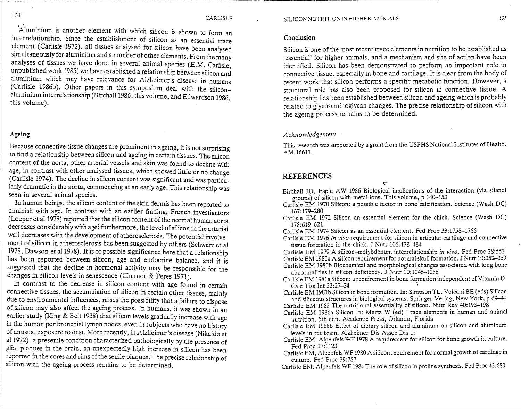Aluminium is another element with which silicon is shown to form an interrelationship. Since the establishment of silicon as an essential trace element (Carlisle 1972), all tissues analysed for silicon have been analysed simultaneously for aluminium and a number of other elements . From the many analyses of tissues we have done in several animal species (E.M. Carlisle, unpublished work 1985) we have established a relationship between silicon and aluminium which may have relevance for Alzheimer's disease in humans (Carlisle 1986b). Other papers in this symposium deal with the siliconaluminium interrelationship (Birchall 1986, this volume, and Edwardson 1986 , this volume).

#### Ageing

Because connective tissue changes are prominent in ageing, it is not surprising to find a relationship between silicon and ageing in certain tissues . The silicon content of the aorta, other arterial vessels and skin was found to decline with age, in contrast with other analysed tissues, which showed little or no change (Carlisle 1974). The decline in silicon content was significant and was particularly dramatic in the aorta, commencing at an early age. This relationship was seen in several animal species.

In human beings, the silicon content of the skin dermis has been reported to diminish with age. In contrast with an earlier finding, French investigators (Loeper et al 1978) reported that the silicon content of the normal human aorta decreases considerably with age; furthermore, the level of silicon in the arterial wall decreases with the development of atherosclerosis. The potential involvement of silicon in atherosclerosis has been suggested by others (Schwarz et al 1978, Dawson et al 1978). It is of possible significance here that a relationship has been reported between silicon, age and endocrine balance, and it is suggested that the decline in hormonal activity may be responsible for the changes in silicon levels in senescence (Charnot & Peres 1971).

In contrast to the decrease in silicon content with age found in certain connective tissues, the accumulation of silicon in certain other tissues, mainly due to environmental influences, raises the possibility that a failure to dispose of silicon may also affect the ageing process. In humans, it was shown in an earlier study (King & Belt 1938) that silicon levels gradually increase with age in the human peribronchial lymph nodes, even in subjects who have no history of unusual exposure to dust. More recently, in Alzheimer's disease (Nikaido et al 1972), a presenile condition characterized pathologically by the presence of glial plaques in the brain, an unexpectedly high increase in silicon has been reported in the cores and rims of the senile plaques. The precise relationship of silicon with the ageing process remains to be determined.

#### Conclusion

Silicon is one of the most recent trace elements in nutrition to be established as 'essential' for higher animals, and a mechanism and site of action have been identified. Silicon has been demonstrated to perform an important role in connective tissue, especially in bone and cartilage . It is clear from the body of recent work that silicon performs a specific metabolic function. However, a structural role has also been proposed for silicon in connective tissue . A relationship has been established between silicon and ageing which is probably related to glycosaminoglycan changes. The precise relationship of silicon with the ageing process remains to be determined.

#### *Acknowledgement*

This research was supported by a grant from the USPHS National Institutes of Health . AM 16611.

#### REFERENCES

- Birchall JD, Espie AW 1986 Biological implications of the interaction (via silanol groups) of silicon with metal ions. This volume, p 140-153
- Carlisle EM 1970 Silicon: a possible factor in bone calcification. Science (Wash DC) 167:179-280
- Carlisle EM 1972 Silicon an essential element for the chick . Science (Wash DC) 178:619-621
- Carlisle EM 1974 Silicon as an essential element. Fed Proc 33:1758-1766
- Carlisle EM 1976 *In vivo* requirement for silicon in articular cartilage and connectiv <sup>e</sup> tissue formation in the chick. J Nutr 106:478-484
- Carlisle EM 1979 A silicon-molybdenum interrelationship *in vivo.* Fed Proc 38 :553
- Carlisle EM 1980a A silicon requirement for normal skull formation. J Nutr 10:352-359
- Carlisle EM 1980b Biochemical and morphological changes associated with long bon e abnormalities in silicon deficiency. J Nutr 10:1046-4056
- Carlisle EM 1981a Silicon: a requirement in bone formation independent of Vitamin D. Calc Tiss Int 33 :27-34
- Carlisle EM 1981b Silicon in bone formation. In: Simpson TL, Volcani BE (eds) Silicon and siliceous structures in biological systems . Springer-Verlag, New York, p 69-94
- Carlisle EM 1982 The nutritional essentiality of silicon. Nutr Rev 40:193-198
- Carlisle EM 1986a Silicon In: Mertz W (ed) Trace elements in human and animal nutrition, 5th edn. Academic Press, Orlando, Florida
- Carlisle EM 1986b Effect of dietary silicon and aluminum on silicon and aluminum levels in rat brain. Alzheimer Dis Assoc Dis 1:
- Carlisle EM, Alpenfels WF 1978 A requirement for silicon for bone growth in culture . Fed Proc 37:1123
- Carlisle EM, Alpenfels WF 1980 A silicon requirement for normal growth of cartilage in culture. Fed Proc 39:787
- Carlisle EM, Alpenfels WF 1984 The role of silicon in proline synthesis . Fed Proc 43 :680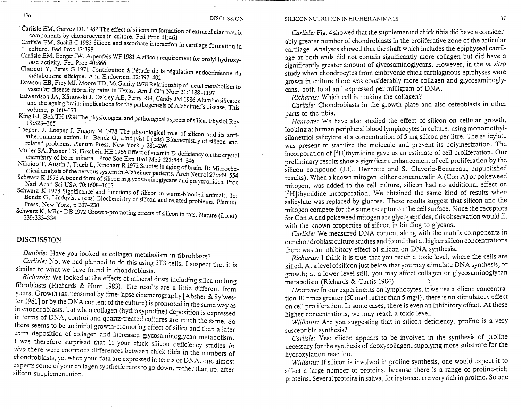- Carlisle EM, Garvey DL 1982 The effect of silicon on formation of extracellular matrix components by chondrocytes in culture. Fed Proc 41:461
- Carlisle EM, Suchil C 1983 Silicon and ascorbate interaction in cartilage formation i <sup>n</sup> ' culture. Fed Proc 42:398
- Carlisle EM, Berger JW, Alpenfels WF 1981 A silicon requirement for prolyl hydroxy lase activity. Fed Proc 40:866
- Charnot Y, Peres G 1971 Contribution <sup>a</sup> I'etude de la regulation endocrinienne du metabolisme silicique . Ann Endocrinol 32 :397-40 <sup>2</sup>
- Dawson EB, Frey MJ, Moore TD, McGanity 1978 Relationship of metal metabolism to vascular disease mortality rates in Texas. Am J Clin Nutr 31:1188-1197
- Edwardson JA, Klinowski J. Oakley AE, Perry RH, Candy JM 1986 Aluminosilicates and the ageing brain: implications for the pathogenesis of Alzheimer's disease. This volume, p 160-173
- مدور EJ, Belt TH 1938 The physiological and pathological aspects of silica. Physiol Rev<br>18:329–365
- Loeper. J. Loeper J. Fragny M 1978 The physiological role of silicon and its anti-<br>atheromatous action. In: Bendz G, Lindqvist I (eds) Biochemistry of silicon and<br>related problems. Plenum Press. New York p 281-296 atheromatous action. In: Bendz G, Lindqvist I (eds) Biochemistry of silicon and
- Muller SA, Posner HS, Firschein HE 1966 Effect of vitamin D-deficiency on the crystal chemistry of bone mineral. Proc Soc Exp Biol Med 121:844-846
- Nikaido T, Austin J, Trueb L, Rinehart R 1972 Studies in aging of brain. II: Microchemical analysis of the nervous system in Alzheimer patients. Arch Neurol 27:549–554
- Schwarz K 1973 A bound form of silicon in glycosaminoglycans and polyuronides. Proc<br>Natl Acad Sci USA 70:1608–1612 Natl Acad Sci USA 70:1608-1612<br>Schwarz K 1978 Significance and functions of silicon in warm-blooded animals. In:
- Sendz G, Lindqvist I (eds) Biochemistry of silicon and related problems. Plenum<br>Press, New York, p 207-230
- Schwarz K, Milne DB 1972 Growth-promoting effects of silicon in rats. Nature (Lond)<br>239:333–334

#### **DISCUSSION**

*Daniele:* Have you looked at collagen metabolism in fibroblasts ?

*Carlisle:* No, we had planned to do this using 3T3 cells . I suspect that it is similar to what we have found in chondroblasts.

*Richards:* We looked at the effects of mineral dusts including silica on lung fibroblasts (Richards & Hunt 1983). The results are a little different from yours . Growth (as measured by time-lapse cinematography [Absher & Sylwester 1981] or by the DNA content of the culture) is promoted in the same way a For every or by the DTM content of the culture) is promoted in the same way as<br>in chondroblasts, but when collagen (hydroxyproline) deposition is expressed in terms of DNA, control and quartz-treated cultures are much the same . So there seems to be an initial growth-promoting effect of silica and then a later extra deposition of collagen and increased glycosaminoglycan metabolism. I was therefore surprised that in your chick silicon deficiency studies *in*  $vivo$  there were enormous differences between chick tibia in the numbers of chondroblasts, yet when your data are expressed in terms of DNA, one almost expects some of your collagen synthetic rates to go down, rather than up, after<br>silicon sunnlamentation silicon supplementation.

*Carlisle:* Fig. 4 showed that the supplemented chick tibia did have a considerably greater number of chondroblasts in the proliferative zone of the articular cartilage. Analyses showed that the shaft which includes the epiphyseal cartilage at both ends did not contain significantly more collagen but did have a significantly greater amount of glycosaminoglycans . However, in the *in vitro* study when chondrocytes from embryonic chick cartilaginous epiphyses were grown in culture there was considerably more collagen and glycosaminoglycans, both total and expressed per milligram of DNA.

*Richards:* Which cell is making the collagen ?

*Carlisle:* Chondroblasts in the growth plate and also osteoblasts in other parts of the tibia.

Henrotte: We have also studied the effect of silicon on cellular growth, looking at human peripheral blood lymphocytes in culture, using monomethylsilanetriol salicylate at a concentration of 5 mg silicon per litre. The salicylate was present to stabilize the molecule and prevent its polymerization. The incorporation of [<sup>3</sup>H]thymidine gave us an estimate of cell proliferation. Our preliminary results show a significant enhancement of cell proliferation by the silicon compound (J.G. Henrotte and S. Claverie-Benureau, unpublished results). When a known mitogen, either concanavalin A (Con A) or pokeweed mitogen, was added to the cell culture, silicon had no additional effect on [<sup>3</sup>H]thymidine incorporation. We obtained the same kind of results when salicylate was replaced by glucose. These results suggest that silicon and the mitogen compete for the same receptor on the cell surface . Since the receptors for Con A and pokeweed mitogen are glycopeptides, this observation would fit with the known properties of silicon in binding to glycans.

*Carlisle:* We measured DNA content along with the matrix components in our chondroblast culture studies and found that at higher silicon concentrations there was an inhibitory effect of silicon on DNA synthesis.

*Richards:* I think it is true that you reach a toxic level, where the cells are killed. At a level of silicon just below that you may stimulate DNA synthesis, or growth; at a lower level still, you may affect collagen or glycosaminoglycan metabolism (Richards & Curtis 1984) .

*Henrotte:* In our experiments on lymphocytes, if we use a silicon concentration 10 times greater (50 mg/l rather than 5 mg/l), there is no stimulatory effect on cell proliferation. In some cases, there is even an inhibitory effect. At these higher concentrations, we may reach a toxic level.

*Williams:* Are you suggesting that in silicon deficiency, proline is a very susceptible synthesis?

*Carlisle:* Yes; silicon appears to be involved in the synthesis of proline necessary for the synthesis of deoxycollagen, supplying more substrate for the hydroxylation reaction .

*Williams:* If silicon is involved in proline synthesis, one would expect it to affect a large number of proteins, because there is a range of proline-rich proteins. Several proteins in saliva, for instance, are very rich in proline . So one